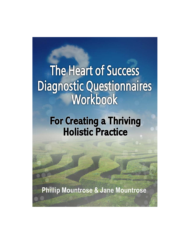# **The Heart of Success Diagnostic Questionnaires** Workbook

# **For Creating a Thriving Holistic Practice**

**Phillip Mountrose & Jane Mountrose**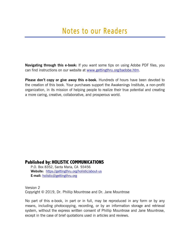**Navigating through this e-book:** If you want some tips on using Adobe PDF files, you can find instructions on our website at www.gettingthru.org/badobe.htm.

**Please don't copy or give away this e-book.** Hundreds of hours have been devoted to the creation of this book. Your purchases support the Awakenings Institute, a non-profit organization, in its mission of helping people to realize their true potential and creating a more caring, creative, collaborative, and prosperous world.

#### **Published by: HOLISTIC COMMUNICATIONS**

P.O. Box 8352, Santa Maria, CA 93456 **Website:** https://gettingthru.org/holistic/about-us **E-mail:** holistic@gettingthru.org

Version 2 Copyright © 2019, Dr. Phillip Mountrose and Dr. Jane Mountrose

No part of this e-book, in part or in full, may be reproduced in any form or by any means, including photocopying, recording, or by an information storage and retrieval system, without the express written consent of Phillip Mountrose and Jane Mountrose, except in the case of brief quotations used in articles and reviews.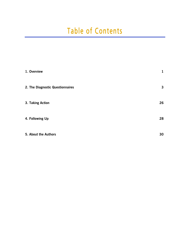# Table of Contents

| 1. Overview                      | 1            |
|----------------------------------|--------------|
| 2. The Diagnostic Questionnaires | $\mathbf{3}$ |
| 3. Taking Action                 | 26           |
| 4. Following Up                  | 28           |
| 5. About the Authors             | 30           |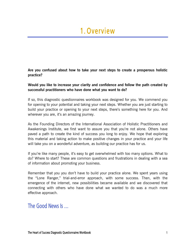## 1. Overview

**Are you confused about how to take your next steps to create a prosperous holistic practice?** 

#### **Would you like to increase your clarity and confidence and follow the path created by successful practitioners who have done what you want to do?**

If so, this diagnostic questionnaires workbook was designed for you. We commend you for opening to your potential and taking your next steps. Whether you are just starting to build your practice or opening to your next steps, there's something here for you. And wherever you are, it's an amazing journey.

As the Founding Directors of the International Association of Holistic Practitioners and Awakenings Institute, we first want to assure you that you're not alone. Others have paved a path to create the kind of success you long to enjoy. We hope that exploring this material and taking action to make positive changes in your practice and your life will take you on a wonderful adventure, as building our practice has for us.

If you're like many people, it's easy to get overwhelmed with too many options. What to do? Where to start? These are common questions and frustrations in dealing with a sea of information about promoting your business.

Remember that you you don't have to build your practice alone. We spent years using the "Lone Ranger," trial-and-error approach, with some success. Then, with the emergence of the internet, new possibilities became available and we discovered that connecting with others who have done what we wanted to do was a much more effective approach.

### The Good News Is …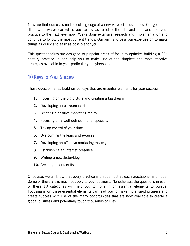Now we find ourselves on the cutting edge of a new wave of possibilities. Our goal is to distill what we've learned so you can bypass a lot of the trial and error and take your practice to the next level now. We've done extensive research and implementation and continue to follow the most current trends. Our aim is to pass our expertise on to make things as quick and easy as possible for you.

This questionnaires sre designed to pinpoint areas of focus to optimize building a  $21<sup>st</sup>$ century practice. It can help you to make use of the simplest and most effective strategies available to you, particularly in cyberspace.

### 10 Keys to Your Success

These questionnaires build on 10 keys that are essential elements for your success:

- **1.** Focusing on the big picture and creating a big dream
- **2.** Developing an entrepreneurial spirit
- **3.** Creating a positive marketing reality
- **4.** Focusing on a well-defined niche (specialty)
- **5.** Taking control of your time
- **6.** Overcoming the fears and excuses
- **7.** Developing an effective marketing message
- **8.** Establishing an internet presence
- **9.** Writing a newsletter/blog
- **10.** Creating a contact list

Of course, we all know that every practice is unique, just as each practitioner is unique. Some of these areas may not apply to your business. Nonetheless, the questions in each of these 10 categories will help you to hone in on essential elements to pursue. Focusing in on these essential elements can lead you to make more rapid progress and create success with use of the many opportunities that are now available to create a global business and potentially touch thousands of lives.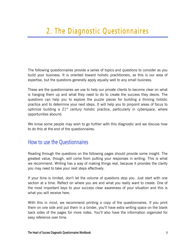The following questionnaires provide a series of topics and questions to consider as you build your business. It is oriented toward holistic practitioners, as this is our area of expertise, but the questions generally apply equally well to any small business.

These are the questionnaires we use to help our private clients to become clear on what is hanging them up and what they need to do to create the success they desire. The questions can help you to explore the puzzle pieces for building a thriving holistic practice and to determine your next steps. It will help you to pinpoint areas of focus to optimize building a  $21<sup>st</sup>$  century holistic practice, particularly in cyberspace, where opportunities abound.

We know some people may wish to go further with this diagnostic and we discuss how to do this at the end of the questionnaires.

### How to use the Questionnaires

Reading through the questions on the following pages should provide some insight. The greatest value, though, will come from putting your responses in writing. This is what we recommend. Writing has a way of making things real, because it provides the clarity you may need to take your next steps effectively.

If your time is limited, don't let the volume of questions stop you. Just start with one section at a time. Reflect on where you are and what you really want to create. One of the most important keys to your success clear awareness of your situation and this is what you will receive here.

With this in mind, we recommend printing a copy of the questionnaires. If you print them on one side and put them in a binder, you'll have extra writing space on the blank back sides of the pages for more notes. You'll also have the information organized for easy reference over time.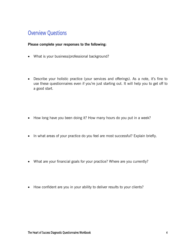### Overview Questions

#### **Please complete your responses to the following:**

- What is your business/professional background?
- Describe your holistic practice (your services and offerings). As a note, it's fine to use these questionnaires even if you're just starting out. It will help you to get off to a good start.

- How long have you been doing it? How many hours do you put in a week?
- In what areas of your practice do you feel are most successful? Explain briefly.
- What are your financial goals for your practice? Where are you currently?
- How confident are you in your ability to deliver results to your clients?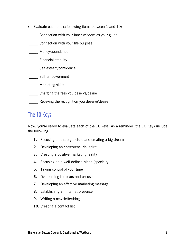- Evaluate each of the following items between 1 and 10:
- \_\_\_\_\_ Connection with your inner wisdom as your guide
- \_\_\_\_\_ Connection with your life purpose
- Money/abundance
- **Example 1** Financial stability
- \_\_\_\_\_ Self esteem/confidence
- \_\_\_\_\_ Self-empowerment
- \_\_\_\_\_ Marketing skills
- \_\_\_\_\_ Charging the fees you deserve/desire
- **\_\_\_\_\_** Receving the recognition you deserve/desire

### The 10 Keys

Now, you're ready to evaluate each of the 10 keys. As a reminder, the 10 Keys include the following:

- **1.** Focusing on the big picture and creating a big dream
- **2.** Developing an entrepreneurial spirit
- **3.** Creating a positive marketing reality
- **4.** Focusing on a well-defined niche (specialty)
- **5.** Taking control of your time
- **6.** Overcoming the fears and excuses
- **7.** Developing an effective marketing message
- **8.** Establishing an internet presence
- **9.** Writing a newsletter/blog
- **10.** Creating a contact list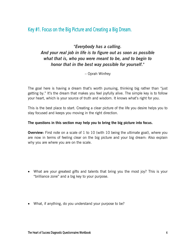### Key #1. Focus on the Big Picture and Creating a Big Dream.

### *"Everybody has a calling. And your real job in life is to figure out as soon as possible what that is, who you were meant to be, and to begin to honor that in the best way possible for yourself."*

– Oprah Winfrey

The goal here is having a dream that's worth pursuing, thinking big rather than "just getting by." It's the dream that makes you feel joyfully alive. The simple key is to follow your heart, which is your source of truth and wisdom. It knows what's right for you.

This is the best place to start. Creating a clear picture of the life you desire helps you to stay focused and keeps you moving in the right direction.

#### **The questions in this section may help you to bring the big picture into focus.**

**Overview:** First note on a scale of 1 to 10 (with 10 being the ultimate goal), where you are now in terms of feeling clear on the big picture and your big dream: Also explain why you are where you are on the scale.

- What are your greatest gifts and talents that bring you the most joy? This is your "brilliance zone" and a big key to your purpose.
- What, if anything, do you understand your purpose to be?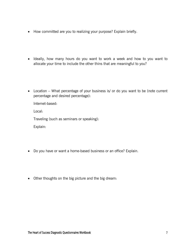- How committed are you to realizing your purpose? Explain briefly.
- Ideally, how many hours do you want to work a week and how to you want to allocate your time to include the other thins that are meaningful to you?
- Location What percentage of your business is/ or do you want to be (note current percentage and desired percentage):

Internet-based:

Local:

Traveling (such as seminars or speaking):

Explain:

- Do you have or want a home-based business or an office? Explain.
- Other thoughts on the big picture and the big dream: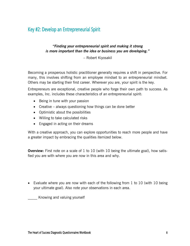### Key #2: Develop an Entrepreneurial Spirit

#### *"Finding your entrepreneurial spirit and making it strong is more important than the idea or business you are developing."*

– Robert Kiyosakil

Becoming a prosperous holistic practitioner generally requires a shift in perspective. For many, this involves shifting from an employee mindset to an entrepreneurial mindset. Others may be starting their first career. Wherever you are, your spirit is the key.

Entrepreneurs are exceptional, creative people who forge their own path to success. As examples, Inc. includes these characteristics of an entrepreneurial spirit:

- Being in tune with your passion
- Creative always questioning how things can be done better
- Optimistic about the possibilities
- Willing to take calculated risks
- Engaged in acting on their dreams

With a creative approach, you can explore opportunities to reach more people and have a greater impact by embracing the qualities itemized below.

**Overview:** First note on a scale of 1 to 10 (with 10 being the ultimate goal), how satisfied you are with where you are now in this area and why.

• Evaluate where you are now with each of the following from 1 to 10 (with 10 being your ultimate goal). Also note your observations in each area.

\_\_\_\_\_ Knowing and valuing yourself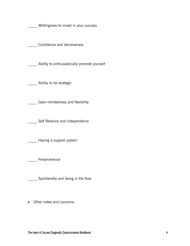Willlingness to invest in your success

Confidence and decisiveness

Ability to enthusiastically promote yourself

**\_\_\_\_\_** Ability to be strategic

**\_\_\_\_\_** Open-mindedness and flexibility

Self Reliance and independence

Having a support system

Perserverence

**Spontaneity and being in the flow** 

Other notes and concerns: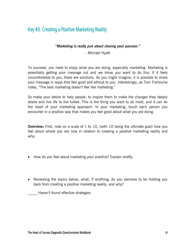### Key #3. Creating a Positive Marketing Reality

#### *"Marketing is really just about sharing your passion."*

- Michael Hyatt

To succeed, you need to enjoy what you are doing, especially marketing. Marketing is essentially getting your message out and we know you want to do this. If it feels uncomfortable to you, there are solutions. As you might imagine, it is possible to share your message in ways that feel good and ethical to you. Interestingly, as Tom Fishburne notes, "The best marketing doesn't feel like marketing."

So make your desire to help people, to inspire them to make the changes they deeply desire and live life to the fullest. This is the thing you want to do most, and it can be the heart of your marketing approach. In your marketing, touch each person you encounter in a positive way that makes you feel good about what you are doing.

**Overview:** First, note on a scale of 1 to 10, (with 10 being the ultimate goal) how you feel about where you are now in relation to creating a positive marketing reality and why:

- How do you feel about marketing your practice? Explain briefly.
- Reviewing the topics below, what, if anything, do you perceive to be holding you back from creating a positive marketing reality, and why?

\_\_\_\_\_ Haven't found effective strategies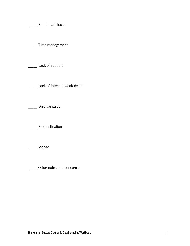\_\_\_\_\_ Emotional blocks

\_\_\_\_\_ Time management

\_\_\_\_\_ Lack of support

**Lack of interest, weak desire** 

\_\_\_\_\_ Disorganization

\_\_\_\_\_ Procrastination

\_\_\_\_\_\_ Money

\_\_\_\_\_ Other notes and concerns: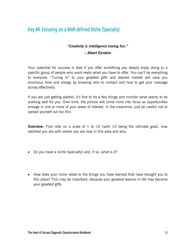### Key #4. Focusing on a Well-defined Niche (Specialty)

### *"Creativity is intelligence having fun."*

#### **– Albert Einstein**

Your potential for success is best if you offer something you deeply enjoy doing to a specific group of people who want really what you have to offer. You can't be everything to everyone. "Tuning in" to your greatest gifts and desired market will save you enormous time and energy by knowing who to contact and how to get your message across effectively.

If you are just getting started, it's fine to try a few things and monitor what seems to be working well for you. Over time, the picture will come more into focus as opportunities emerge in one or more of your areas of interest. In the meantime, just be careful not to spread yourself out too thin.

**Overview:** First note on a scale of 1 to 10 (with 10 being the ultimate goal), how satisfied you are with where you are now in this area and why.

- Do you have a niche (specialty) and, if so, what is it?
- How does your niche relate to the things you have learned that have brought you to this place? This may be important, because your greatest lessons in life may become your greatest gifts.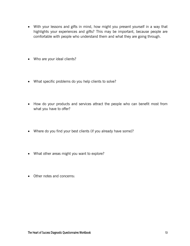- With your lessons and gifts in mind, how might you present yourself in a way that highlights your experiences and gifts? This may be important, because people are comfortable with people who understand them and what they are going through.
- Who are your ideal clients?
- What specific problems do you help clients to solve?
- How do your products and services attract the people who can benefit most from what you have to offer?
- Where do you find your best clients (if you already have some)?
- What other areas might you want to explore?
- Other notes and concerns: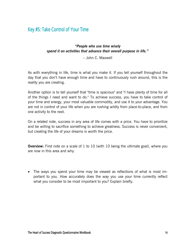### Key #5: Take Control of Your Time

#### *"People who use time wisely spend it on activities that advance their overall purpose in life."*

– John C. Maxwell

As with everything in life, time is what you make it. If you tell yourself throughout the day that you don't have enough time and have to continuously rush around, this is the reality you are creating.

Another option is to tell yourself that "time is spacious" and "I have plenty of time for all of the things I need and want to do." To achieve success, you have to take control of your time and energy, your most valuable commodity, and use it to your advantage. You are not in control of your life when you are rushing wildly from place-to-place, and from one activity to the next.

On a related note, success in any area of life comes with a price. You have to prioritize and be willing to sacrifice something to achieve greatness. Success is never convenient, but creating the life of your dreams is worth the price.

**Overview:** First note on a scale of 1 to 10 (with 10 being the ultimate goal), where you are now in this area and why.

 The ways you spend your time may be viewed as reflections of what is most important to you. How accurately does the way you use your time currently reflect what you consider to be most important to you? Explain briefly.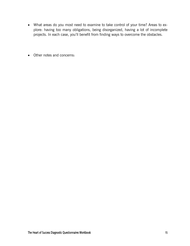- What areas do you most need to examine to take control of your time? Areas to explore: having too many obligations, being disorganized, having a lot of incomplete projects. In each case, you'll benefit from finding ways to overcome the obstacles.
- Other notes and concerns: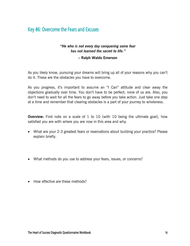### Key #6: Overcome the Fears and Excuses

#### *"He who is not every day conquering some fear has not learned the secret to life."*

#### **– Ralph Waldo Emerson**

As you likely know, pursuing your dreams will bring up all of your reasons why you can't do it. These are the obstacles you have to overcome.

As you progress, it's important to assume an "I Can" attitude and clear away the objections gradually over time. You don't have to be perfect; none of us are. Also, you don't need to wait for all the fears to go away before you take action. Just take one step at a time and remember that clearing obstacles is a part of your journey to wholeness.

**Overview:** First note on a scale of 1 to 10 (with 10 being the ultimate goal), how satisfied you are with where you are now in this area and why.

- What are your 2-3 greatest fears or reservations about building your practice? Please explain briefly.
- What methods do you use to address your fears, issues, or concerns?
- How effective are these methods?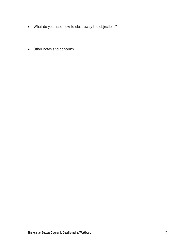- What do you need now to clear away the objections?
- Other notes and concerns: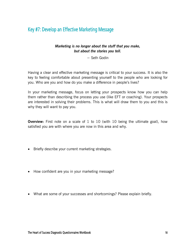### Key #7: Develop an Effective Marketing Message

#### *Marketing is no longer about the stuff that you make, but about the stories you tell.*

− Seth Godin

Having a clear and effective marketing message is critical to your success. It is also the key to feeling comfortable about presenting yourself to the people who are looking for you. Who are you and how do you make a difference in people's lives?

In your marketing message, focus on letting your prospects know how you can help them rather than describing the process you use (like EFT or coaching). Your prospects are interested in solving their problems. This is what will draw them to you and this is why they will want to pay you.

**Overview:** First note on a scale of 1 to 10 (with 10 being the ultimate goal), how satisfied you are with where you are now in this area and why.

- Briefly describe your current marketing strategies.
- How confident are you in your marketing message?
- What are some of your successes and shortcomings? Please explain briefly.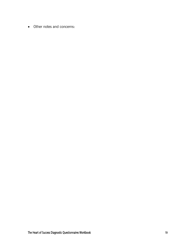Other notes and concerns: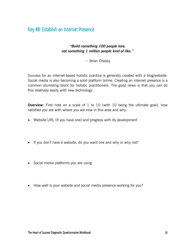### Key #8: Establish an Internet Presence

#### *"Build something 100 people love, not something 1 million people kind of like."*

− Brian Chesky

Success for an internet-based holistic practice is generally created with a blog/website. Social media is also becoming a solid platform online. Creating an internet presence is a common stumbling block for holistic practitioners. The good news is that you can do this relatively easily with new technology.

**Overview:** First note on a scale of 1 to 10 (with 10 being the ultimate goal), how satisfied you are with where you are now in this area and why.

- Website URL (if you have one) and progress with its development
- If you don't have a website, do you want one and why or why not?
- Social media platforms you are using
- How well is your website and social media presence working for you?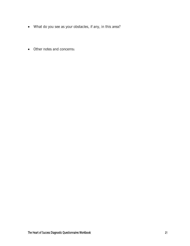- What do you see as your obstacles, if any, in this area?
- Other notes and concerns: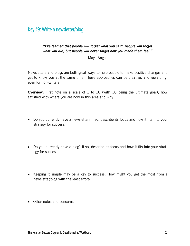### Key #9: Write a newsletter/blog

#### *"I've learned that people will forget what you said, people will forget what you did, but people will never forget how you made them feel."*

– Maya Angelou

Newsletters and blogs are both great ways to help people to make positive changes and get to know you at the same time. These approaches can be creative, and rewarding, even for non-writers.

**Overview:** First note on a scale of 1 to 10 (with 10 being the ultimate goal), how satisfied with where you are now in this area and why.

- Do you currently have a newsletter? If so, describe its focus and how it fits into your strategy for success.
- Do you currently have a blog? If so, describe its focus and how it fits into your strategy for success.
- Keeping it simple may be a key to success. How might you get the most from a newsletter/blog with the least effort?
- Other notes and concerns: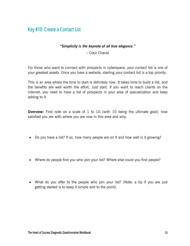### Key #10: Create a Contact List

#### *"Simplicity is the keynote of all true elegance."*

– Coco Chanel

For those who want to connect with prospects in cyberspace, your contact list is one of your greatest assets. Once you have a website, starting your contact list is a top priority.

This is an area where the time to start is definitely now. It takes time to build a list, and the benefits are well worth the effort. Just start. If you want to reach clients on the internet, you need to have a list of prospects in your area of specialization and keep adding to it.

**Overview:** First note on a scale of 1 to 10 (with 10 being the ultimate goal), how satisfied you are with where you are now in this area and why.

- Do you have a list? If so, how many people are on it and how well is it growing?
- Where do people find you who join your list? Where else could you find people?
- What do you offer to the people who join your list? (Note: a tip if you are just getting started is to keep it simple and to the point).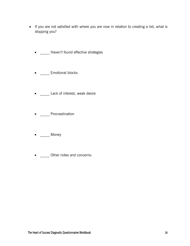- If you are not satisfied with where you are now in relation to creating a list, what is stopping you?
	- \_\_\_\_ Haven't found effective strategies
	- \_\_\_\_\_ Emotional blocks
	- \_\_\_\_\_ Lack of interest, weak desire
	- <u>\_\_</u>\_\_\_ Procrastination
	- Money
	- \_\_\_\_\_\_ Other notes and concerns: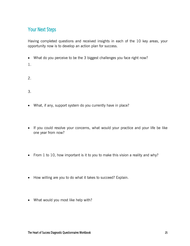### Your Next Steps

Having completed questions and received insights in each of the 10 key areas, your opportunity now is to develop an action plan for success.

- What do you perceive to be the 3 biggest challenges you face right now?
- 1.
- 2.
- 3.
- What, if any, support system do you currently have in place?
- If you could resolve your concerns, what would your practice and your life be like one year from now?
- From 1 to 10, how important is it to you to make this vision a reality and why?
- How willing are you to do what it takes to succeed? Explain.
- What would you most like help with?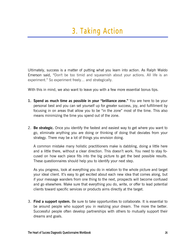Ultimately, success is a matter of putting what you learn into action. As Ralph Waldo Emerson said, "Don't be too timid and squeamish about your actions. All life is an experiment." So experiment freely… and strategically.

With this in mind, we also want to leave you with a few more essential bonus tips.

- **1. Spend as much time as possible in your "brilliance zone."** You are here to be your personal best and you can set yourself up for greater success, joy, and fulfillment by focusing in on areas that allow you to be "in the zone" most of the time. This also means minimizing the time you spend out of the zone.
- 2. **Be strategic.** Once you identify the fastest and easiest way to get where you want to go, eliminate anything you are doing or thinking of doing that deviates from your strategy. There may be a lot of things you envision doing.

A common mistake many holistic practitioners make is dabbling, doing a little here and a little there, without a clear direction. This doesn't work. You need to stay focused on how each piece fits into the big picture to get the best possible results. These questionnaires should help you to identify your next step.

As you progress, look at everything you do in relation to the whole picture and target your ideal client. It's easy to get excited about each new idea that comes along, but if your message wanders from one thing to the next, prospects will become confused and go elsewhere. Make sure that everything you do, write, or offer to lead potential clients toward specific services or products aims directly at the target.

3. **Find a support system.** Be sure to take opportunities to collaborate. It is essential to be around people who support you in realizing your dream. The more the better. Successful people often develop partnerships with others to mutually support their dreams and goals.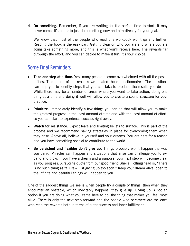4. **Do something.** Remember, if you are waiting for the perfect time to start, it may never come. It's better to just do something now and aim directly for your goal.

We know that most of the people who read this workbook won't go any further. Reading the book is the easy part. Getting clear on who you are and where you are going take something more, and this is what you'll receive here. The rewards far outweigh the effort, and you can decide to make it fun. It's your choice.

### Some Final Reminders

- **Take one step at a time.** Yes, many people become overwhelmed with all the possibilities. This is one of the reasons we created these questionnaires. The questions can help you to identify steps that you can take to produce the results you desire. While there may be a number of areas where you want to take action, doing one thing at a time and doing it well will allow you to create a sound structure for your practice.
- **Prioritize.** Immediately identify a few things you can do that will allow you to make the greatest progress in the least amount of time and with the least amount of effort, so you can start to experience success right away.
- **Watch for resistance.** Expect fears and limiting beliefs to surface. This is part of the process and we recommend having strategies in place for overcoming them when they arise. Above all, believe in yourself and your dreams. You are here for a reason and you have something special to contribute to the world.
- **Be persistent and flexible: don't give up.** Things probably won't happen the way you think. Miracles can happen and situations that arise can challenge you to expand and grow. If you have a dream and a purpose, your next step will become clear as you progress. A favorite quote from our good friend Sheila Hollingshead is, "There is no such thing as failure – just giving up too soon." Keep your dream alive, open to the infinite and beautiful things will happen to you.

One of the saddest things we see is when people try a couple of things, then when they encounter an obstacle, which inevitably happens, they give up. Giving up is not an option if you are doing what you came here to do, the thing that makes you feel most alive. There is only the next step forward and the people who persevere are the ones who reap the rewards both in terms of outer success and inner fulfillment.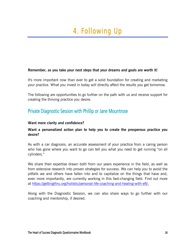#### **Remember, as you take your next steps that your dreams and goals are worth it!**

It's more important now than ever to get a solid foundation for creating and marketing your practice. What you invest in today will directly affect the results you get tomorrow.

The following are opportunities to go further on the path with us and receive support for creating the thriving practice you desire.

### Private Diagnostic Session with Phillip or Jane Mountrose

#### **Want more clarity and confidence?**

#### **Want a personalized action plan to help you to create the prosperous practice you desire?**

As with a car diagnosis, an accurate assessment of your practice from a caring person who has gone where you want to go can tell you what you need to get running "on all cylinders."

We share their expertise drawn both from our years experience in the field, as well as from extensive research into proven strategies for success. We can help you to avoid the pitfalls we and others have fallen into and to capitalize on the things that have and, even more importantly, are currently working in this fast-changing field. Find out more at https://gettingthru.org/holistic/personal-life-coaching-and-healing-with-eft/.

Along with the Diagnostic Session, we can also share ways to go further with our coaching and mentorship, if desired.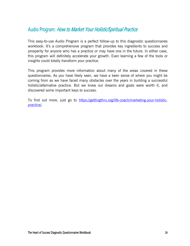### Audio Program: How to Market Your Holistic/Spiritual Practice

This easy-to-use Audio Program is a perfect follow-up to this diagnostic questionnaires workbook. It's a comprehensive program that provides key ingredients to success and prosperity for anyone who has a practice or may have one in the future. In either case, this program will definitely accelerate your growth. Even learning a few of the tools or insights could totally transform your practice.

This program provides more information about many of the areas covered in these questionnaires. As you have likely seen, we have a keen sense of where you might be coming from as we have faced many obstacles over the years in building a successful holistic/alternative practice. But we knew our dreams and goals were worth it, and discovered some important keys to success.

To find out more, just go to https://gettingthru.org/life-coach/marketing-your-holisticpractice/.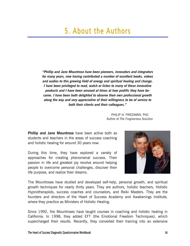## 5. About the Authors

*"Phillip and Jane Mountrose have been pioneers, innovators and integrators for many years, now having contributed a number of excellent books, videos and audios to this growing field of energy and spiritual healing and change. I have been privileged to read, watch or listen to many of these innovative products and I have been amazed at times at how prolific they have become. I have been both delighted to observe their own professional growth along the way and very appreciative of their willingness to be of service to both their clients and their colleagues."* 

> PHILIP H. FRIEDMAN, PhD Author of *The Forgiveness Solution*

**Phillip and Jane Mountrose** have been active both as students and teachers in the areas of success coaching and holistic healing for around 30 years now.

During this time, they have explored a variety of approaches for creating phenomenal success. Their passion in life and greatest joy revolve around helping people to overcome personal challenges, discover their life purpose, and realize their dreams.



The Mountroses have studied and developed self-help, personal growth, and spiritual growth techniques for nearly thirty years. They are authors, holistic teachers, Holistic Hypnotherapists, success coaches and counselors, and Reiki Masters. They are the founders and directors of the Heart of Success Academy and Awakenings Institute, where they practice as Ministers of Holistic Healing.

Since 1992, the Mountroses have taught courses in coaching and holistic healing in California. In 1998, they added EFT (the Emotional Freedom Techniques), which supercharged their results. Recently, they converted their training into an extensive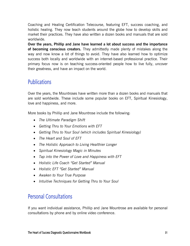Coaching and Healing Certification Telecourse, featuring EFT, success coaching, and holistic healing. They now teach students around the globe how to develop skills and market their practices. They have also written a dozen books and manuals that are sold worldwide.

**Over the years, Phillip and Jane have learned a lot about success and the importance of becoming conscious creators.** They admittedly made plenty of mistakes along the way and now know a lot of things to avoid. They have also learned how to optimize success both locally and worldwide with an internet-based professional practice. Their primary focus now is on teaching success-oriented people how to live fully, uncover their greatness, and have an impact on the world.

### **Publications**

Over the years, the Mountroses have written more than a dozen books and manuals that are sold worldwide. These include some popular books on EFT, Spiritual Kinesiology, love and happiness, and more.

More books by Phillip and Jane Mountrose include the following:

- *The Ultimate Paradigm Shift*
- *Getting Thru to Your Emotions with EFT*
- *Getting Thru to Your Soul (which includes Spiritual Kinesiology)*
- *The Heart and Soul of EFT*
- *The Holistic Approach to Living Healthier Longer*
- *Spiritual Kinesiology Magic in Minutes*
- *Tap into the Power of Love and Happiness with EFT*
- *Holistic Life Coach "Get Started" Manual*
- *Holistic EFT "Get Started" Manual*
- *Awaken to Your True Purpose*
- *Intuitive Techniques for Getting Thru to Your Soul*

### Personal Consultations

If you want individual assistance, Phillip and Jane Mountrose are available for personal consultations by phone and by online video conference.